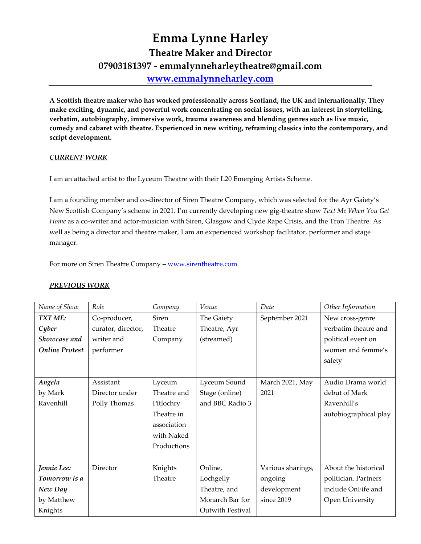# **Emma Lynne Harley Theatre Maker and Director 07903181397 - emmalynneharleytheatre@gmail.com [www.emmalynneharley.com](http://www.emmalynneharley.com/)**

**A Scottish theatre maker who has worked professionally across Scotland, the UK and internationally. They make exciting, dynamic, and powerful work concentrating on social issues, with an interest in storytelling, verbatim, autobiography, immersive work, trauma awareness and blending genres such as live music, comedy and cabaret with theatre. Experienced in new writing, reframing classics into the contemporary, and script development.**

# *CURRENT WORK*

I am an attached artist to the Lyceum Theatre with their L20 Emerging Artists Scheme.

I am a founding member and co-director of Siren Theatre Company, which was selected for the Ayr Gaiety's New Scottish Company's scheme in 2021. I'm currently developing new gig-theatre show *Text Me When You Get Home* as a co-writer and actor-musician with Siren, Glasgow and Clyde Rape Crisis, and the Tron Theatre. As well as being a director and theatre maker, I am an experienced workshop facilitator, performer and stage manager.

For more on Siren Theatre Company – [www.sirentheatre.com](http://www.sirentheatre.com/)

#### *PREVIOUS WORK*

| Name of Show          | Role               | Company      | Venue            | Date              | Other Information     |
|-----------------------|--------------------|--------------|------------------|-------------------|-----------------------|
| TXT ME:               | Co-producer,       | <b>Siren</b> | The Gaiety       | September 2021    | New cross-genre       |
| Cyber                 | curator, director, | Theatre      | Theatre, Ayr     |                   | verbatim theatre and  |
| Showcase and          | writer and         | Company      | (streamed)       |                   | political event on    |
| <b>Online Protest</b> | performer          |              |                  |                   | women and femme's     |
|                       |                    |              |                  |                   | safety                |
|                       |                    |              |                  |                   |                       |
| Angela                | Assistant          | Lyceum       | Lyceum Sound     | March 2021, May   | Audio Drama world     |
| by Mark               | Director under     | Theatre and  | Stage (online)   | 2021              | debut of Mark         |
| Ravenhill             | Polly Thomas       | Pitlochry    | and BBC Radio 3  |                   | Ravenhill's           |
|                       |                    | Theatre in   |                  |                   | autobiographical play |
|                       |                    | association  |                  |                   |                       |
|                       |                    | with Naked   |                  |                   |                       |
|                       |                    | Productions  |                  |                   |                       |
|                       |                    |              |                  |                   |                       |
| Jennie Lee:           | Director           | Knights      | Online,          | Various sharings, | About the historical  |
| Tomorrow is a         |                    | Theatre      | Lochgelly        | ongoing           | politician. Partners  |
| New Day               |                    |              | Theatre, and     | development       | include OnFife and    |
| by Matthew            |                    |              | Monarch Bar for  | since 2019        | Open University       |
| Knights               |                    |              | Outwith Festival |                   |                       |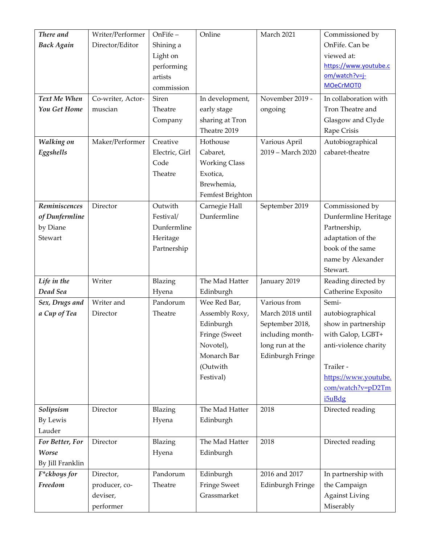| There and<br><b>Back Again</b><br>Text Me When<br>You Get Home<br>Walking on<br>Eggshells | Writer/Performer<br>Director/Editor<br>Co-writer, Actor-<br>muscian<br>Maker/Performer | OnFife-<br>Shining a<br>Light on<br>performing<br>artists<br>commission<br>Siren<br>Theatre<br>Company<br>Creative<br>Electric, Girl<br>Code<br>Theatre | Online<br>In development,<br>early stage<br>sharing at Tron<br>Theatre 2019<br>Hothouse<br>Cabaret,<br><b>Working Class</b><br>Exotica, | March 2021<br>November 2019 -<br>ongoing<br>Various April<br>2019 - March 2020                                 | Commissioned by<br>OnFife. Can be<br>viewed at:<br>https://www.youtube.c<br>om/watch?v=j-<br><b>MOeCrMOTO</b><br>In collaboration with<br>Tron Theatre and<br>Glasgow and Clyde<br>Rape Crisis<br>Autobiographical<br>cabaret-theatre |
|-------------------------------------------------------------------------------------------|----------------------------------------------------------------------------------------|---------------------------------------------------------------------------------------------------------------------------------------------------------|-----------------------------------------------------------------------------------------------------------------------------------------|----------------------------------------------------------------------------------------------------------------|---------------------------------------------------------------------------------------------------------------------------------------------------------------------------------------------------------------------------------------|
|                                                                                           |                                                                                        |                                                                                                                                                         | Brewhemia,<br>Femfest Brighton                                                                                                          |                                                                                                                |                                                                                                                                                                                                                                       |
| Reminiscences<br>of Dunfermline<br>by Diane<br>Stewart                                    | Director                                                                               | Outwith<br>Festival/<br>Dunfermline<br>Heritage<br>Partnership                                                                                          | Carnegie Hall<br>Dunfermline                                                                                                            | September 2019                                                                                                 | Commissioned by<br>Dunfermline Heritage<br>Partnership,<br>adaptation of the<br>book of the same<br>name by Alexander<br>Stewart.                                                                                                     |
| Life in the<br>Dead Sea                                                                   | Writer                                                                                 | Blazing<br>Hyena                                                                                                                                        | The Mad Hatter<br>Edinburgh                                                                                                             | January 2019                                                                                                   | Reading directed by<br>Catherine Exposito                                                                                                                                                                                             |
| Sex, Drugs and<br>a Cup of Tea                                                            | Writer and<br>Director                                                                 | Pandorum<br>Theatre                                                                                                                                     | Wee Red Bar,<br>Assembly Roxy,<br>Edinburgh<br>Fringe (Sweet<br>Novotel),<br>Monarch Bar<br>(Outwith<br>Festival)                       | Various from<br>March 2018 until<br>September 2018,<br>including month-<br>long run at the<br>Edinburgh Fringe | Semi-<br>autobiographical<br>show in partnership<br>with Galop, LGBT+<br>anti-violence charity<br>Trailer -<br>https://www.youtube.<br>com/watch?v=pD2Tm<br>i5uBdg                                                                    |
| Solipsism<br>By Lewis                                                                     | Director                                                                               | Blazing<br>Hyena                                                                                                                                        | The Mad Hatter<br>Edinburgh                                                                                                             | 2018                                                                                                           | Directed reading                                                                                                                                                                                                                      |
| Lauder                                                                                    |                                                                                        |                                                                                                                                                         |                                                                                                                                         |                                                                                                                |                                                                                                                                                                                                                                       |
| For Better, For<br>Worse<br>By Jill Franklin                                              | Director                                                                               | Blazing<br>Hyena                                                                                                                                        | The Mad Hatter<br>Edinburgh                                                                                                             | 2018                                                                                                           | Directed reading                                                                                                                                                                                                                      |
| F*ckboys for<br>Freedom                                                                   | Director,<br>producer, co-<br>deviser,<br>performer                                    | Pandorum<br>Theatre                                                                                                                                     | Edinburgh<br><b>Fringe Sweet</b><br>Grassmarket                                                                                         | 2016 and 2017<br>Edinburgh Fringe                                                                              | In partnership with<br>the Campaign<br><b>Against Living</b><br>Miserably                                                                                                                                                             |